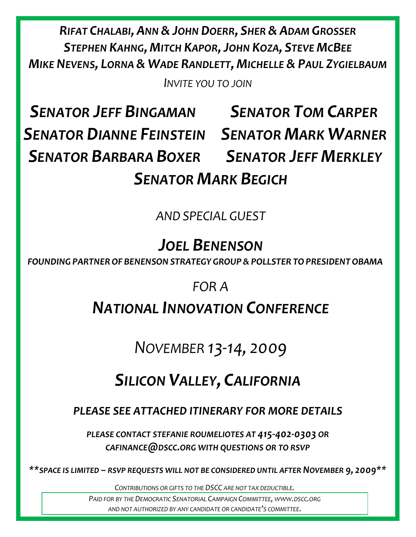RIFAT CHALABI, ANN & JOHN DOERR, SHER & ADAM GROSSER STEPHEN KAHNG, MITCH KAPOR, JOHN KOZA, STEVE MCBEE MIKE NEVENS, LORNA & WADE RANDLETT, MICHELLE & PAUL ZYGIELBAUM

INVITE YOU TO JOIN

SENATOR JEFF BINGAMAN SENATOR TOM CARPER SENATOR DIANNE FEINSTEIN SENATOR MARK WARNER SENATOR BARBARA BOXER SENATOR JEFF MERKLEY SENATOR MARK BEGICH

AND SPECIAL GUEST

## JOEL BENENSON

FOUNDING PARTNEROF BENENSON STRATEGY GROUP &POLLSTER TOPRESIDENTOBAMA

## FOR A

NATIONAL INNOVATION CONFERENCE

NOVEMBER 13-14, 2009

# SILICON VALLEY, CALIFORNIA

### PLEASE SEE ATTACHED ITINERARY FOR MORE DETAILS

PLEASE CONTACT STEFANIE ROUMELIOTES AT 415-402-0303 OR CAFINANCE@DSCC.ORG WITH QUESTIONS OR TO RSVP

\*\*SPACE IS LIMITED – RSVP REQUESTS WILL NOT BE CONSIDERED UNTIL AFTER NOVEMBER 9, 2009\*\*

CONTRIBUTIONS OR GIFTS TO THE DSCC ARE NOT TAX DEDUCTIBLE.

PAID FOR BY THE DEMOCRATIC SENATORIAL CAMPAIGN COMMITTEE, WWW.DSCC.ORG AND NOT AUTHORIZED BY ANY CANDIDATE OR CANDIDATE'S COMMITTEE.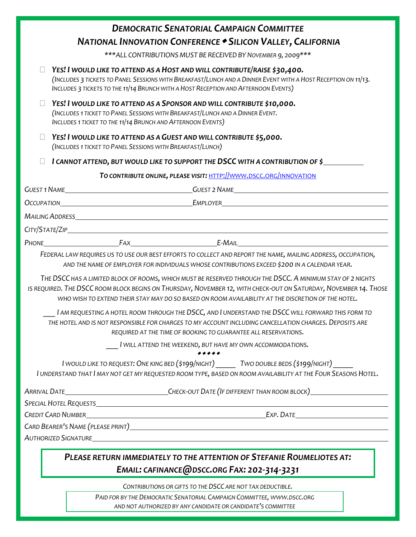#### DEMOCRATIC SENATORIAL CAMPAIGN COMMITTEE NATIONAL INNOVATION CONFERENCE . SILICON VALLEY, CALIFORNIA

\*\*\*ALL CONTRIBUTIONS MUST BE RECEIVED BY NOVEMBER 9, 2009\*\*\*

#### YES! I WOULD LIKE TO ATTEND AS A HOST AND WILL CONTRIBUTE/RAISE \$30,400.

(INCLUDES 3 TICKETS TO PANEL SESSIONS WITH BREAKFAST/LUNCH AND A DINNER EVENT WITH A HOST RECEPTION ON 11/13. INCLUDES 3 TICKETS TO THE 11/14 BRUNCH WITH A HOST RECEPTION AND AFTERNOON EVENTS)

#### YES! I WOULD LIKE TO ATTEND AS A SPONSOR AND WILL CONTRIBUTE \$10,000.

(INCLUDES 1 TICKET TO PANEL SESSIONS WITH BREAKFAST/LUNCH AND A DINNER EVENT. INCLUDES 1 TICKET TO THE 11/14 BRUNCH AND AFTERNOON EVENTS)

YES! I WOULD LIKE TO ATTEND AS A GUEST AND WILL CONTRIBUTE \$5,000.

(INCLUDES 1 TICKET TO PANEL SESSIONS WITH BREAKFAST/LUNCH)

I CANNOT ATTEND, BUT WOULD LIKE TO SUPPORT THE DSCC WITH A CONTRIBUTION OF \$

TO CONTRIBUTE ONLINE, PLEASE VISIT: HTTP://WWW.DSCC.ORG/INNOVATION

|                                                                                                                                                                                                                                                                                                                                      | PHONE FAX FAX E-MAIL                                                                                                                                                                                                                                                            |  |
|--------------------------------------------------------------------------------------------------------------------------------------------------------------------------------------------------------------------------------------------------------------------------------------------------------------------------------------|---------------------------------------------------------------------------------------------------------------------------------------------------------------------------------------------------------------------------------------------------------------------------------|--|
|                                                                                                                                                                                                                                                                                                                                      | FEDERAL LAW REQUIRES US TO USE OUR BEST EFFORTS TO COLLECT AND REPORT THE NAME, MAILING ADDRESS, OCCUPATION,<br>AND THE NAME OF EMPLOYER FOR INDIVIDUALS WHOSE CONTRIBUTIONS EXCEED \$200 IN A CALENDAR YEAR.                                                                   |  |
| THE DSCC HAS A LIMITED BLOCK OF ROOMS, WHICH MUST BE RESERVED THROUGH THE DSCC. A MINIMUM STAY OF 2 NIGHTS<br>IS REQUIRED. THE DSCC ROOM BLOCK BEGINS ON THURSDAY, NOVEMBER 12, WITH CHECK-OUT ON SATURDAY, NOVEMBER 14. THOSE<br>WHO WISH TO EXTEND THEIR STAY MAY DO SO BASED ON ROOM AVAILABILITY AT THE DISCRETION OF THE HOTEL. |                                                                                                                                                                                                                                                                                 |  |
|                                                                                                                                                                                                                                                                                                                                      | I AM REQUESTING A HOTEL ROOM THROUGH THE DSCC, AND I UNDERSTAND THE DSCC WILL FORWARD THIS FORM TO<br>THE HOTEL AND IS NOT RESPONSIBLE FOR CHARGES TO MY ACCOUNT INCLUDING CANCELLATION CHARGES. DEPOSITS ARE<br>REQUIRED AT THE TIME OF BOOKING TO GUARANTEE ALL RESERVATIONS. |  |
|                                                                                                                                                                                                                                                                                                                                      | I WILL ATTEND THE WEEKEND, BUT HAVE MY OWN ACCOMMODATIONS.                                                                                                                                                                                                                      |  |
|                                                                                                                                                                                                                                                                                                                                      | I WOULD LIKE TO REQUEST: ONE KING BED (\$199/NIGHT) ______ TWO DOUBLE BEDS (\$199/NIGHT)<br>I UNDERSTAND THAT I MAY NOT GET MY REQUESTED ROOM TYPE, BASED ON ROOM AVAILABILITY AT THE FOUR SEASONS HOTEL.                                                                       |  |
|                                                                                                                                                                                                                                                                                                                                      |                                                                                                                                                                                                                                                                                 |  |
|                                                                                                                                                                                                                                                                                                                                      |                                                                                                                                                                                                                                                                                 |  |
|                                                                                                                                                                                                                                                                                                                                      |                                                                                                                                                                                                                                                                                 |  |
|                                                                                                                                                                                                                                                                                                                                      |                                                                                                                                                                                                                                                                                 |  |
|                                                                                                                                                                                                                                                                                                                                      | AUTHORIZED SIGNATURE <b>AUTHORIZED</b> SIGNATURE                                                                                                                                                                                                                                |  |

PLEASE RETURN IMMEDIATELY TO THE ATTENTION OF STEFANIE ROUMELIOTES AT: EMAIL: CAFINANCE@DSCC.ORG FAX: 202-314-3231

CONTRIBUTIONS OR GIFTS TO THE DSCC ARE NOT TAX DEDUCTIBLE.

PAID FOR BY THE DEMOCRATIC SENATORIAL CAMPAIGN COMMITTEE, WWW.DSCC.ORG AND NOT AUTHORIZED BY ANY CANDIDATE OR CANDIDATE'S COMMITTEE